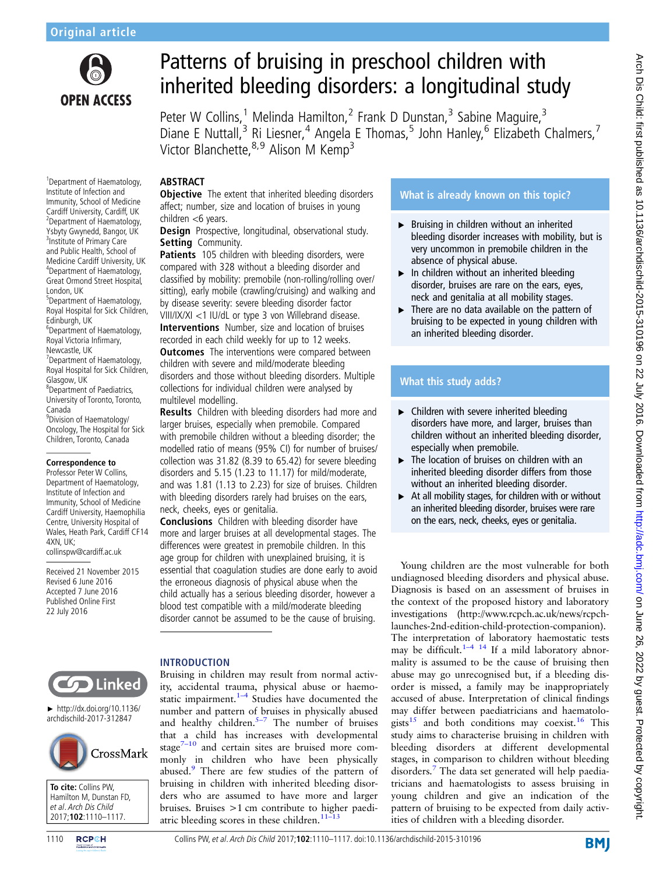

1 Department of Haematology, Institute of Infection and Immunity, School of Medicine Cardiff University, Cardiff, UK 2 Department of Haematology, Ysbyty Gwynedd, Bangor, UK <sup>3</sup>Institute of Primary Care and Public Health, School of Medicine Cardiff University, UK 4 Department of Haematology, Great Ormond Street Hospital,

5 Department of Haematology, Royal Hospital for Sick Children,

6 Department of Haematology, Royal Victoria Infirmary, Newcastle, UK

7 Department of Haematology, Royal Hospital for Sick Children,

8 Department of Paediatrics, University of Toronto, Toronto,

<sup>9</sup>Division of Haematology/ Oncology, The Hospital for Sick Children, Toronto, Canada

**Correspondence to** Professor Peter W Collins, Department of Haematology, Institute of Infection and Immunity, School of Medicine Cardiff University, Haemophilia Centre, University Hospital of Wales, Heath Park, Cardiff CF14

collinspw@cardiff.ac.uk Received 21 November 2015 Revised 6 June 2016 Accepted 7 June 2016 Published Online First 22 July 2016

London, UK

Edinburgh, UK

Glasgow, UK

Canada

4XN, UK;

# Patterns of bruising in preschool children with inherited bleeding disorders: a longitudinal study

Peter W Collins,<sup>1</sup> Melinda Hamilton,<sup>2</sup> Frank D Dunstan,<sup>3</sup> Sabine Maguire,<sup>3</sup> Diane E Nuttall,<sup>3</sup> Ri Liesner,<sup>4</sup> Angela E Thomas,<sup>5</sup> John Hanley,<sup>6</sup> Elizabeth Chalmers,<sup>7</sup> Victor Blanchette, 8,9 Alison M Kemp<sup>3</sup>

## ABSTRACT

**Objective** The extent that inherited bleeding disorders affect; number, size and location of bruises in young children <6 years.

Design Prospective, longitudinal, observational study. Setting Community.

Patients 105 children with bleeding disorders, were compared with 328 without a bleeding disorder and classified by mobility: premobile (non-rolling/rolling over/ sitting), early mobile (crawling/cruising) and walking and by disease severity: severe bleeding disorder factor VIII/IX/XI <1 IU/dL or type 3 von Willebrand disease. Interventions Number, size and location of bruises recorded in each child weekly for up to 12 weeks. **Outcomes** The interventions were compared between children with severe and mild/moderate bleeding disorders and those without bleeding disorders. Multiple collections for individual children were analysed by multilevel modelling. Results Children with bleeding disorders had more and

larger bruises, especially when premobile. Compared with premobile children without a bleeding disorder; the modelled ratio of means (95% CI) for number of bruises/ collection was 31.82 (8.39 to 65.42) for severe bleeding disorders and 5.15 (1.23 to 11.17) for mild/moderate, and was 1.81 (1.13 to 2.23) for size of bruises. Children with bleeding disorders rarely had bruises on the ears, neck, cheeks, eyes or genitalia.

Conclusions Children with bleeding disorder have more and larger bruises at all developmental stages. The differences were greatest in premobile children. In this age group for children with unexplained bruising, it is essential that coagulation studies are done early to avoid the erroneous diagnosis of physical abuse when the child actually has a serious bleeding disorder, however a blood test compatible with a mild/moderate bleeding disorder cannot be assumed to be the cause of bruising.

# INTRODUCTION

Bruising in children may result from normal activity, accidental trauma, physical abuse or haemostatic impairment. $1-4$  $1-4$  Studies have documented the number and pattern of bruises in physically abused and healthy children. $5-7$  $5-7$  The number of bruises that a child has increases with developmental stage $7-10$  $7-10$  and certain sites are bruised more commonly in children who have been physically abused.<sup>[9](#page-7-0)</sup> There are few studies of the pattern of bruising in children with inherited bleeding disorders who are assumed to have more and larger bruises. Bruises >1 cm contribute to higher paedi-atric bleeding scores in these children.<sup>11-[13](#page-7-0)</sup>

# What is already known on this topic?

- ▸ Bruising in children without an inherited bleeding disorder increases with mobility, but is very uncommon in premobile children in the absence of physical abuse.
- $\blacktriangleright$  In children without an inherited bleeding disorder, bruises are rare on the ears, eyes, neck and genitalia at all mobility stages.
- $\triangleright$  There are no data available on the pattern of bruising to be expected in young children with an inherited bleeding disorder.

# What this study adds?

- $\blacktriangleright$  Children with severe inherited bleeding disorders have more, and larger, bruises than children without an inherited bleeding disorder, especially when premobile.
- ▸ The location of bruises on children with an inherited bleeding disorder differs from those without an inherited bleeding disorder.
- $\triangleright$  At all mobility stages, for children with or without an inherited bleeding disorder, bruises were rare on the ears, neck, cheeks, eyes or genitalia.

Young children are the most vulnerable for both undiagnosed bleeding disorders and physical abuse. Diagnosis is based on an assessment of bruises in the context of the proposed history and laboratory investigations ([http://www.rcpch.ac.uk/news/rcpch](http://www.rcpch.ac.uk/news/rcpch-launches-2nd-edition-child-protection-companion)[launches-2nd-edition-child-protection-companion](http://www.rcpch.ac.uk/news/rcpch-launches-2nd-edition-child-protection-companion)). The interpretation of laboratory haemostatic tests may be difficult.<sup>1–[4](#page-6-0) [14](#page-7-0)</sup> If a mild laboratory abnormality is assumed to be the cause of bruising then abuse may go unrecognised but, if a bleeding disorder is missed, a family may be inappropriately accused of abuse. Interpretation of clinical findings may differ between paediatricians and haematolo-gists<sup>[15](#page-7-0)</sup> and both conditions may coexist.<sup>[16](#page-7-0)</sup> This study aims to characterise bruising in children with bleeding disorders at different developmental stages, in comparison to children without bleeding disorders.<sup>[7](#page-7-0)</sup> The data set generated will help paediatricians and haematologists to assess bruising in young children and give an indication of the pattern of bruising to be expected from daily activities of children with a bleeding disorder.

# **COD** Linked

► http://dx.doi.org/10.1136/ archdischild-2017-312847





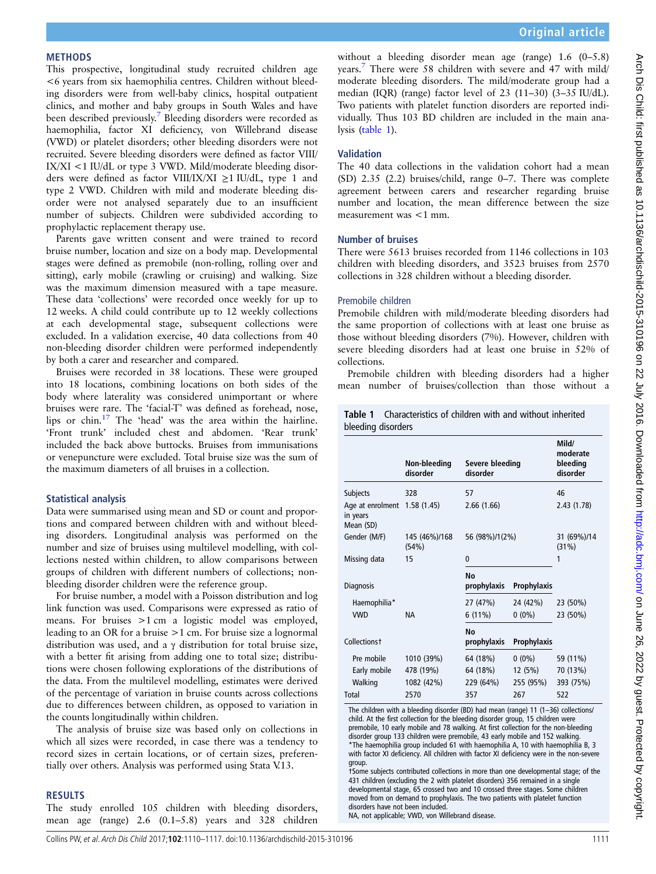#### METHODS

This prospective, longitudinal study recruited children age <6 years from six haemophilia centres. Children without bleeding disorders were from well-baby clinics, hospital outpatient clinics, and mother and baby groups in South Wales and have been described previously[.7](#page-7-0) Bleeding disorders were recorded as haemophilia, factor XI deficiency, von Willebrand disease (VWD) or platelet disorders; other bleeding disorders were not recruited. Severe bleeding disorders were defined as factor VIII/ IX/XI <1 IU/dL or type 3 VWD. Mild/moderate bleeding disorders were defined as factor VIII/IX/XI ≥1 IU/dL, type 1 and type 2 VWD. Children with mild and moderate bleeding disorder were not analysed separately due to an insufficient number of subjects. Children were subdivided according to prophylactic replacement therapy use.

Parents gave written consent and were trained to record bruise number, location and size on a body map. Developmental stages were defined as premobile (non-rolling, rolling over and sitting), early mobile (crawling or cruising) and walking. Size was the maximum dimension measured with a tape measure. These data 'collections' were recorded once weekly for up to 12 weeks. A child could contribute up to 12 weekly collections at each developmental stage, subsequent collections were excluded. In a validation exercise, 40 data collections from 40 non-bleeding disorder children were performed independently by both a carer and researcher and compared.

Bruises were recorded in 38 locations. These were grouped into 18 locations, combining locations on both sides of the body where laterality was considered unimportant or where bruises were rare. The 'facial-T' was defined as forehead, nose, lips or chin[.17](#page-7-0) The 'head' was the area within the hairline. 'Front trunk' included chest and abdomen. 'Rear trunk' included the back above buttocks. Bruises from immunisations or venepuncture were excluded. Total bruise size was the sum of the maximum diameters of all bruises in a collection.

#### Statistical analysis

Data were summarised using mean and SD or count and proportions and compared between children with and without bleeding disorders. Longitudinal analysis was performed on the number and size of bruises using multilevel modelling, with collections nested within children, to allow comparisons between groups of children with different numbers of collections; nonbleeding disorder children were the reference group.

For bruise number, a model with a Poisson distribution and log link function was used. Comparisons were expressed as ratio of means. For bruises >1 cm a logistic model was employed, leading to an OR for a bruise >1 cm. For bruise size a lognormal distribution was used, and a γ distribution for total bruise size, with a better fit arising from adding one to total size; distributions were chosen following explorations of the distributions of the data. From the multilevel modelling, estimates were derived of the percentage of variation in bruise counts across collections due to differences between children, as opposed to variation in the counts longitudinally within children.

The analysis of bruise size was based only on collections in which all sizes were recorded, in case there was a tendency to record sizes in certain locations, or of certain sizes, preferentially over others. Analysis was performed using Stata V.13.

#### RESULTS

The study enrolled 105 children with bleeding disorders, mean age (range) 2.6 (0.1–5.8) years and 328 children

without a bleeding disorder mean age (range) 1.6 (0–5.8) years[.7](#page-7-0) There were 58 children with severe and 47 with mild/ moderate bleeding disorders. The mild/moderate group had a median (IQR) (range) factor level of 23 (11–30) (3–35 IU/dL). Two patients with platelet function disorders are reported individually. Thus 103 BD children are included in the main analysis (table 1).

### Validation

The 40 data collections in the validation cohort had a mean (SD) 2.35 (2.2) bruises/child, range 0–7. There was complete agreement between carers and researcher regarding bruise number and location, the mean difference between the size measurement was <1 mm.

#### Number of bruises

There were 5613 bruises recorded from 1146 collections in 103 children with bleeding disorders, and 3523 bruises from 2570 collections in 328 children without a bleeding disorder.

#### Premobile children

Premobile children with mild/moderate bleeding disorders had the same proportion of collections with at least one bruise as those without bleeding disorders (7%). However, children with severe bleeding disorders had at least one bruise in 52% of collections.

Premobile children with bleeding disorders had a higher mean number of bruises/collection than those without a

|                    |  | <b>Table 1</b> Characteristics of children with and without inherited |  |
|--------------------|--|-----------------------------------------------------------------------|--|
| bleeding disorders |  |                                                                       |  |

|                                                       | Non-bleeding<br>disorder | Severe bleeding<br>disorder |             | Mild/<br>moderate<br>bleeding<br>disorder |
|-------------------------------------------------------|--------------------------|-----------------------------|-------------|-------------------------------------------|
|                                                       |                          |                             |             |                                           |
| Subjects                                              | 328                      | 57                          |             | 46                                        |
| Age at enrolment 1.58 (1.45)<br>in years<br>Mean (SD) |                          | 2.66(1.66)                  |             | 2.43(1.78)                                |
| Gender (M/F)                                          | 145 (46%)/168<br>(54%)   | 56 (98%)/1(2%)              |             | 31 (69%)/14<br>(31%)                      |
| Missing data                                          | 15                       | $\mathbf{0}$                |             | 1                                         |
|                                                       |                          | <b>No</b>                   |             |                                           |
| <b>Diagnosis</b>                                      |                          | prophylaxis                 | Prophylaxis |                                           |
| Haemophilia*                                          |                          | 27 (47%)                    | 24 (42%)    | 23 (50%)                                  |
| <b>VWD</b>                                            | NА                       | $6(11\%)$                   | $0(0\%)$    | 23 (50%)                                  |
| Collections <sup>+</sup>                              |                          | Nο<br>prophylaxis           | Prophylaxis |                                           |
| Pre mobile                                            | 1010 (39%)               | 64 (18%)                    | $0(0\%)$    | 59 (11%)                                  |
| Early mobile                                          | 478 (19%)                | 64 (18%)                    | 12(5%)      | 70 (13%)                                  |
| Walking                                               | 1082 (42%)               | 229 (64%)                   | 255 (95%)   | 393 (75%)                                 |
| Total                                                 | 2570                     | 357                         | 267         | 522                                       |

The children with a bleeding disorder (BD) had mean (range) 11 (1–36) collections/ child. At the first collection for the bleeding disorder group, 15 children were premobile, 10 early mobile and 78 walking. At first collection for the non-bleeding disorder group 133 children were premobile, 43 early mobile and 152 walking. \*The haemophilia group included 61 with haemophilia A, 10 with haemophilia B, 3 with factor XI deficiency. All children with factor XI deficiency were in the non-severe group.

†Some subjects contributed collections in more than one developmental stage; of the 431 children (excluding the 2 with platelet disorders) 356 remained in a single developmental stage, 65 crossed two and 10 crossed three stages. Some children moved from on demand to prophylaxis. The two patients with platelet function disorders have not been included.

NA, not applicable; VWD, von Willebrand disease.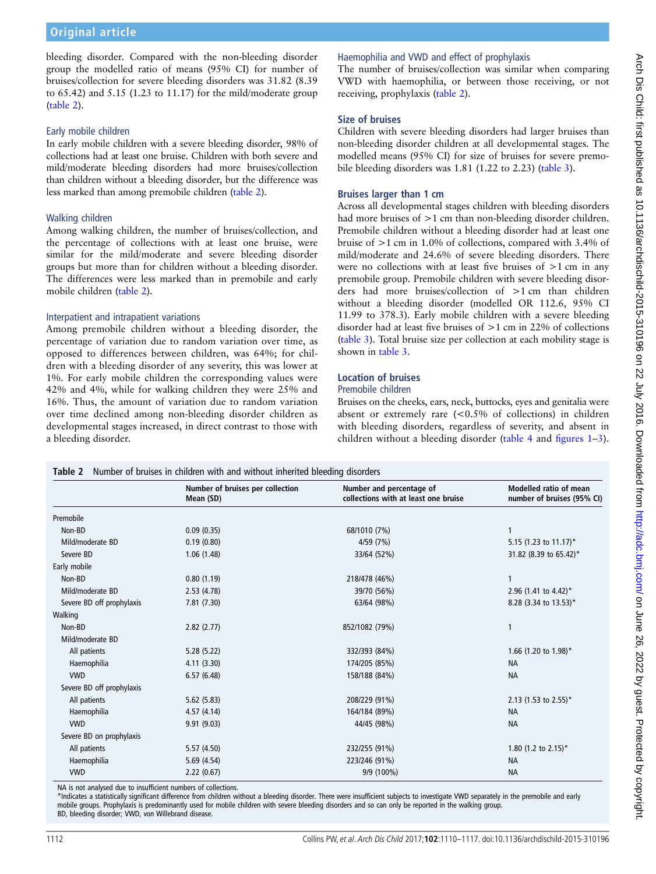bleeding disorder. Compared with the non-bleeding disorder group the modelled ratio of means (95% CI) for number of bruises/collection for severe bleeding disorders was 31.82 (8.39 to 65.42) and 5.15 (1.23 to 11.17) for the mild/moderate group (table 2).

#### Early mobile children

In early mobile children with a severe bleeding disorder, 98% of collections had at least one bruise. Children with both severe and mild/moderate bleeding disorders had more bruises/collection than children without a bleeding disorder, but the difference was less marked than among premobile children (table 2).

#### Walking children

Among walking children, the number of bruises/collection, and the percentage of collections with at least one bruise, were similar for the mild/moderate and severe bleeding disorder groups but more than for children without a bleeding disorder. The differences were less marked than in premobile and early mobile children (table 2).

#### Interpatient and intrapatient variations

Among premobile children without a bleeding disorder, the percentage of variation due to random variation over time, as opposed to differences between children, was 64%; for children with a bleeding disorder of any severity, this was lower at 1%. For early mobile children the corresponding values were 42% and 4%, while for walking children they were 25% and 16%. Thus, the amount of variation due to random variation over time declined among non-bleeding disorder children as developmental stages increased, in direct contrast to those with a bleeding disorder.

## Haemophilia and VWD and effect of prophylaxis

The number of bruises/collection was similar when comparing VWD with haemophilia, or between those receiving, or not receiving, prophylaxis (table 2).

### Size of bruises

Children with severe bleeding disorders had larger bruises than non-bleeding disorder children at all developmental stages. The modelled means (95% CI) for size of bruises for severe premobile bleeding disorders was 1.81 (1.22 to 2.23) [\(table 3](#page-3-0)).

## Bruises larger than 1 cm

Across all developmental stages children with bleeding disorders had more bruises of  $>1$  cm than non-bleeding disorder children. Premobile children without a bleeding disorder had at least one bruise of >1 cm in 1.0% of collections, compared with 3.4% of mild/moderate and 24.6% of severe bleeding disorders. There were no collections with at least five bruises of >1 cm in any premobile group. Premobile children with severe bleeding disorders had more bruises/collection of >1 cm than children without a bleeding disorder (modelled OR 112.6, 95% CI 11.99 to 378.3). Early mobile children with a severe bleeding disorder had at least five bruises of >1 cm in 22% of collections ([table 3\)](#page-3-0). Total bruise size per collection at each mobility stage is shown in [table 3](#page-3-0).

# Location of bruises

# Premobile children

Bruises on the cheeks, ears, neck, buttocks, eyes and genitalia were absent or extremely rare  $(<0.5\%$  of collections) in children with bleeding disorders, regardless of severity, and absent in children without a bleeding disorder ([table 4](#page-4-0) and fi[gures 1](#page-4-0)–[3\)](#page-5-0).

|                           | Number of bruises per collection<br>Mean (SD) | Number and percentage of<br>collections with at least one bruise | Modelled ratio of mean<br>number of bruises (95% CI) |  |  |
|---------------------------|-----------------------------------------------|------------------------------------------------------------------|------------------------------------------------------|--|--|
| Premobile                 |                                               |                                                                  |                                                      |  |  |
| Non-BD                    | 0.09(0.35)                                    | 68/1010 (7%)                                                     |                                                      |  |  |
| Mild/moderate BD          | 0.19(0.80)                                    | 4/59 (7%)                                                        | 5.15 (1.23 to 11.17)*                                |  |  |
| Severe BD                 | 1.06(1.48)                                    | 33/64 (52%)                                                      | 31.82 (8.39 to 65.42)*                               |  |  |
| Early mobile              |                                               |                                                                  |                                                      |  |  |
| Non-BD                    | 0.80(1.19)                                    | 218/478 (46%)                                                    | 1                                                    |  |  |
| Mild/moderate BD          | 2.53(4.78)                                    | 39/70 (56%)                                                      | 2.96 (1.41 to 4.42)*                                 |  |  |
| Severe BD off prophylaxis | 7.81 (7.30)                                   | 63/64 (98%)                                                      | 8.28 (3.34 to 13.53)*                                |  |  |
| Walking                   |                                               |                                                                  |                                                      |  |  |
| Non-BD                    | 2.82(2.77)                                    | 852/1082 (79%)                                                   | 1                                                    |  |  |
| Mild/moderate BD          |                                               |                                                                  |                                                      |  |  |
| All patients              | 5.28(5.22)                                    | 332/393 (84%)                                                    | 1.66 (1.20 to 1.98)*                                 |  |  |
| Haemophilia               | 4.11(3.30)                                    | 174/205 (85%)                                                    | <b>NA</b>                                            |  |  |
| <b>VWD</b>                | 6.57(6.48)                                    | 158/188 (84%)                                                    | <b>NA</b>                                            |  |  |
| Severe BD off prophylaxis |                                               |                                                                  |                                                      |  |  |
| All patients              | 5.62(5.83)                                    | 208/229 (91%)                                                    | 2.13 (1.53 to 2.55)*                                 |  |  |
| Haemophilia               | 4.57(4.14)                                    | 164/184 (89%)                                                    | <b>NA</b>                                            |  |  |
| <b>VWD</b>                | 9.91(9.03)                                    | 44/45 (98%)                                                      | <b>NA</b>                                            |  |  |
| Severe BD on prophylaxis  |                                               |                                                                  |                                                      |  |  |
| All patients              | 5.57(4.50)                                    | 232/255 (91%)                                                    | 1.80 (1.2 to $2.15$ )*                               |  |  |
| Haemophilia               | 5.69(4.54)                                    | 223/246 (91%)                                                    | <b>NA</b>                                            |  |  |
| <b>VWD</b>                | 2.22(0.67)                                    | 9/9 (100%)                                                       | <b>NA</b>                                            |  |  |

NA is not analysed due to insufficient numbers of collections.

\*Indicates a statistically significant difference from children without a bleeding disorder. There were insufficient subjects to investigate VWD separately in the premobile and early mobile groups. Prophylaxis is predominantly used for mobile children with severe bleeding disorders and so can only be reported in the walking group. BD, bleeding disorder; VWD, von Willebrand disease.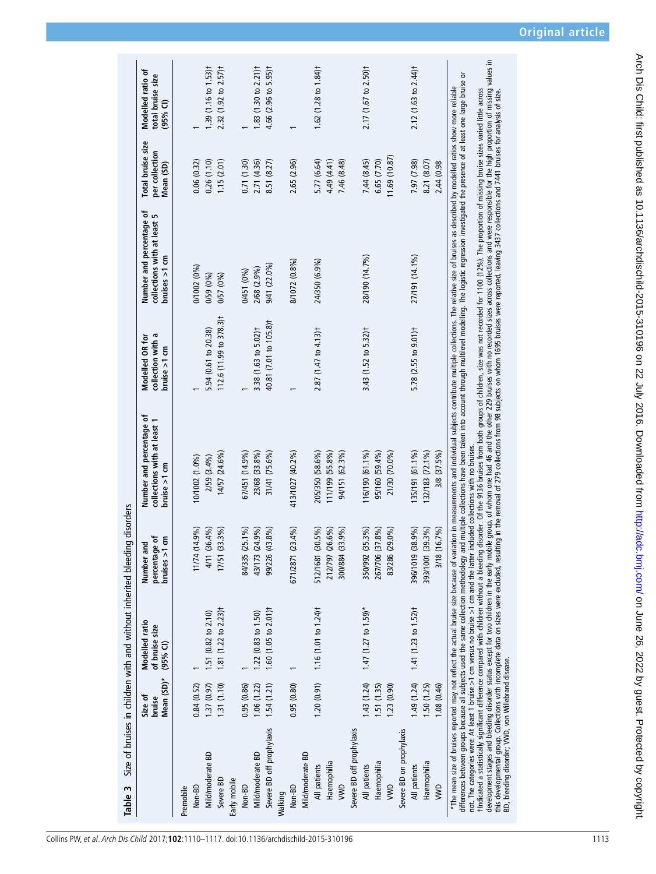<span id="page-3-0"></span>

| Table 3                                                                                                                                                                                                              |                                 | Size of bruises in children with and without inherited bleeding disorders |                                               |                                                                                                                                                                                                                                                                                                                                                                                                                                                                                                                                                                                                                                      |                                                        |                                                                          |                                                         |                                                       |
|----------------------------------------------------------------------------------------------------------------------------------------------------------------------------------------------------------------------|---------------------------------|---------------------------------------------------------------------------|-----------------------------------------------|--------------------------------------------------------------------------------------------------------------------------------------------------------------------------------------------------------------------------------------------------------------------------------------------------------------------------------------------------------------------------------------------------------------------------------------------------------------------------------------------------------------------------------------------------------------------------------------------------------------------------------------|--------------------------------------------------------|--------------------------------------------------------------------------|---------------------------------------------------------|-------------------------------------------------------|
|                                                                                                                                                                                                                      | Mean (SD)*<br>Size of<br>bruise | Modelled ratio<br>of bruise size<br>$(95%$ CI)                            | percentage of<br>bruisse > 1 cm<br>Number and | Number and percentage of<br>collections with at least<br>bruise $>1$ cm                                                                                                                                                                                                                                                                                                                                                                                                                                                                                                                                                              | collection with a<br>Modelled OR for<br>bruise $>1$ cm | Number and percentage of<br>collections with at least 5<br>brures > 1 cm | <b>Total bruise size</b><br>per collection<br>Mean (SD) | Modelled ratio of<br>total bruise size<br>$(95\%$ CI) |
| Premobile                                                                                                                                                                                                            |                                 |                                                                           |                                               |                                                                                                                                                                                                                                                                                                                                                                                                                                                                                                                                                                                                                                      |                                                        |                                                                          |                                                         |                                                       |
| Non-BD                                                                                                                                                                                                               | 0.84(0.52)                      |                                                                           | 11/74 (14.9%)                                 | 10/1002 (1.0%)                                                                                                                                                                                                                                                                                                                                                                                                                                                                                                                                                                                                                       |                                                        | 0/1002 (0%)                                                              | 0.06(0.32)                                              |                                                       |
| Mild/moderate BD                                                                                                                                                                                                     | 1.37(0.97)                      | 1.51 (0.82 to 2.10)                                                       | 4/11 (36.4%)                                  | 2/59 (3.4%)                                                                                                                                                                                                                                                                                                                                                                                                                                                                                                                                                                                                                          | 5.94 (0.61 to 20.38)                                   | 0/59 (0%)                                                                | 0.26(1.10)                                              | 1.39 (1.16 to 1.53) <sup>†</sup>                      |
| Severe BD                                                                                                                                                                                                            | 1.31(1.10)                      | 1.81 (1.22 to 2.23) <sup>+</sup>                                          | (33.3%)<br>17/51                              | 14/57 (24.6%)                                                                                                                                                                                                                                                                                                                                                                                                                                                                                                                                                                                                                        | 112.6 (11.99 to 378.3) <sup>†</sup>                    | 0/57 (0%)                                                                | 1.15(2.01)                                              | $2.32$ (1.92 to $2.57$ ) <sup>+</sup>                 |
| Early mobile                                                                                                                                                                                                         |                                 |                                                                           |                                               |                                                                                                                                                                                                                                                                                                                                                                                                                                                                                                                                                                                                                                      |                                                        |                                                                          |                                                         |                                                       |
| Non-BD                                                                                                                                                                                                               | 0.95(0.86)                      |                                                                           | $(25.1\%)$<br>84/335                          | 67/451 (14.9%)                                                                                                                                                                                                                                                                                                                                                                                                                                                                                                                                                                                                                       |                                                        | 0/451 (0%)                                                               | 0.71 (1.30)                                             |                                                       |
| Mild/moderate BD                                                                                                                                                                                                     | 1.06(1.22)                      | $1.22$ (0.83 to 1.50)                                                     | 43/173 (24.9%)                                | 23/68 (33.8%)                                                                                                                                                                                                                                                                                                                                                                                                                                                                                                                                                                                                                        | 3.38 (1.63 to 5.02)t                                   | 2/68 (2.9%)                                                              | 2.71 (4.36)                                             | 1.83 (1.30 to $2.21$ ) <sup>†</sup>                   |
| Severe BD off prophylaxis                                                                                                                                                                                            | 1.54(1.21)                      | 1.60 (1.05 to $2.01$ ) <sup>+</sup>                                       | (43.8%)<br>99/226                             | 31/41 (75.6%)                                                                                                                                                                                                                                                                                                                                                                                                                                                                                                                                                                                                                        | 40.81 (7.01 to 105.8) <sup>+</sup>                     | 9/41 (22.0%)                                                             | 8.51 (8.27)                                             | 4.66 (2.96 to 5.95) <sup>†</sup>                      |
| Walking                                                                                                                                                                                                              |                                 |                                                                           |                                               |                                                                                                                                                                                                                                                                                                                                                                                                                                                                                                                                                                                                                                      |                                                        |                                                                          |                                                         |                                                       |
| Non-BD                                                                                                                                                                                                               | 0.95(0.80)                      |                                                                           | (23.4%)<br>671/2871                           | 413/1027 (40.2%)                                                                                                                                                                                                                                                                                                                                                                                                                                                                                                                                                                                                                     |                                                        | 8/1072 (0.8%)                                                            | 2.65 (2.96)                                             |                                                       |
| Mild/moderate BD                                                                                                                                                                                                     |                                 |                                                                           |                                               |                                                                                                                                                                                                                                                                                                                                                                                                                                                                                                                                                                                                                                      |                                                        |                                                                          |                                                         |                                                       |
| All patients                                                                                                                                                                                                         |                                 | $1,20$ (0.91) 1.16 (1.01 to 1.24) <sup>+</sup>                            | $(30.5\%)$<br>512/1681                        | 205/350 (58.6%)                                                                                                                                                                                                                                                                                                                                                                                                                                                                                                                                                                                                                      | $2.87(1.47 to 4.13)$ <sup>†</sup>                      | 24/350 (6.9%)                                                            | 5.77 (6.64)                                             | $1.62$ (1.28 to 1.84) <sup>†</sup>                    |
| Haemophilia                                                                                                                                                                                                          |                                 |                                                                           | $(26.6\%)$<br>212/797                         | 111/199 (55.8%)                                                                                                                                                                                                                                                                                                                                                                                                                                                                                                                                                                                                                      |                                                        |                                                                          | 4.49 (4.41)                                             |                                                       |
| <b>SWD</b>                                                                                                                                                                                                           |                                 |                                                                           | (33.9%)<br>300/884                            | 94/151 (62.3%)                                                                                                                                                                                                                                                                                                                                                                                                                                                                                                                                                                                                                       |                                                        |                                                                          | 7.46 (8.48)                                             |                                                       |
| Severe BD off prophylaxis                                                                                                                                                                                            |                                 |                                                                           |                                               |                                                                                                                                                                                                                                                                                                                                                                                                                                                                                                                                                                                                                                      |                                                        |                                                                          |                                                         |                                                       |
| All patients                                                                                                                                                                                                         | 1.43(1.24)                      | $1.47$ (1.27 to 1.59)*                                                    | 350/992 (35.3%)                               | 116/190 (61.1%)                                                                                                                                                                                                                                                                                                                                                                                                                                                                                                                                                                                                                      | 3.43 (1.52 to 5.32) <sup>+</sup>                       | 28/190 (14.7%)                                                           | 7.44 (8.45)                                             | 2.17 (1.67 to 2.50) <sup>†</sup>                      |
| Haemophilia                                                                                                                                                                                                          | 1.51(1.35)                      |                                                                           | 267/706 (37.8%)                               | 95/160 (59.4%)                                                                                                                                                                                                                                                                                                                                                                                                                                                                                                                                                                                                                       |                                                        |                                                                          | 6.65 (7.70)                                             |                                                       |
| ywd                                                                                                                                                                                                                  | 1.23(0.90)                      |                                                                           | (29.0%<br>83/286                              | 21/30 (70.0%)                                                                                                                                                                                                                                                                                                                                                                                                                                                                                                                                                                                                                        |                                                        |                                                                          | 11.69(10.87)                                            |                                                       |
| Severe BD on prophylaxis                                                                                                                                                                                             |                                 |                                                                           |                                               |                                                                                                                                                                                                                                                                                                                                                                                                                                                                                                                                                                                                                                      |                                                        |                                                                          |                                                         |                                                       |
| All patients                                                                                                                                                                                                         | 1.49 (1.24)                     | 1.41 (1.23 to 1.52) <sup>+</sup>                                          | 396/1019 (38.9%)                              | 135/191 (61.1%)                                                                                                                                                                                                                                                                                                                                                                                                                                                                                                                                                                                                                      | 5.78 (2.55 to 9.01)t                                   | 27/191 (14.1%)                                                           | 7.97 (7.98)                                             | 2.12 (1.63 to 2.44) <sup>†</sup>                      |
| Haemophilia                                                                                                                                                                                                          | 1.50 (1.25)                     |                                                                           | 393/1001 (39.3%)                              | 32/183 (72.1%)                                                                                                                                                                                                                                                                                                                                                                                                                                                                                                                                                                                                                       |                                                        |                                                                          | 8.21 (8.07)                                             |                                                       |
| <b>NND</b>                                                                                                                                                                                                           | 1.08 (0.46)                     |                                                                           | 3/18 (16.7%)                                  | 3/8 (37.5%)                                                                                                                                                                                                                                                                                                                                                                                                                                                                                                                                                                                                                          |                                                        |                                                                          | 2.44 (0.98                                              |                                                       |
| not. The categories were: At least 1 bruise >1 cm versus no bruise >1 cm and the latter included collections with no bruises<br>differences between groups because all subjects used the same collection methodology |                                 |                                                                           |                                               | and multiple collections have been taken into account through multilevel modelling. The logistic regression investigated the presence of at least one large bruise<br>*The mean size of bruises reported may not reflect the actual bruise size because of variation in measurements and individual subjects contribute multiple collections. The relative size of bruises as described by modelled<br>tholicated a statistically significant difference compared with thidten without a bleeding disorder. Of the 9136 bruises from both groups of children, size was not recorded for 1100 (12%). The proportion of missing bruise |                                                        |                                                                          |                                                         | ৯                                                     |

t Indicated a statis inverse in the section with without a bleeding idionic. Of the 9136 buises idention boroups of childen, size was not recorded for 1100 (12%). The proportion of missing bruise sizes varied little across development stages and bleeding disorder status except for two children in the early mobile group, of whom one had 46 and the other 229 bruises with no recorded sizes across collections and were responsible for the high pr this developmental group. Collections with incomplete data on sizes were excluded, resulting in the removal of 279 collections from 98 subjects on whom 1695 bruises were reported, leaving 3437 collections and 7441 bruises BD, bleeding disorder; VWD, von Willebrand disease.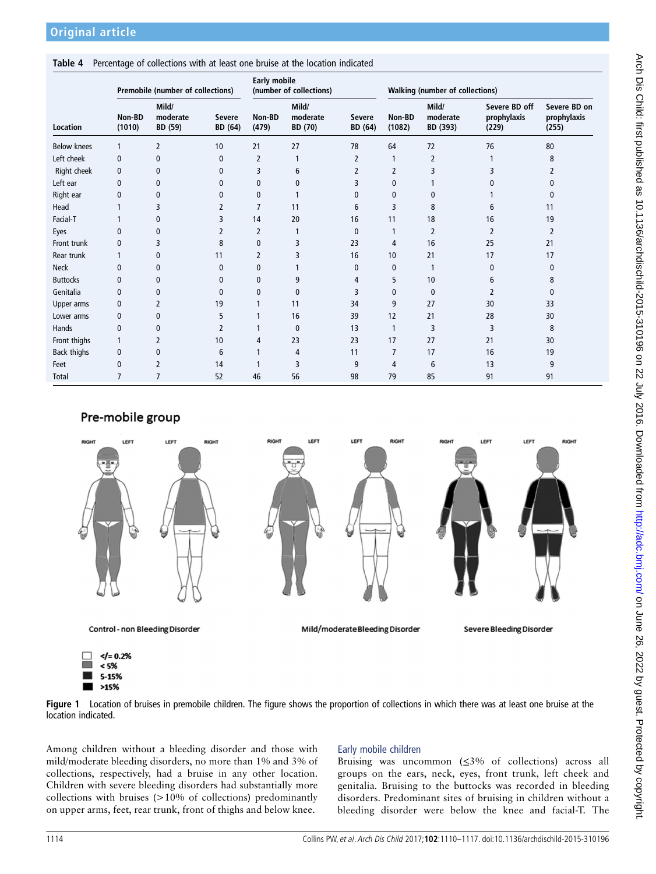## <span id="page-4-0"></span>Table 4 Percentage of collections with at least one bruise at the location indicated

|                 | Premobile (number of collections) |                              |                          | <b>Early mobile</b><br>(number of collections) |                              |                          | <b>Walking (number of collections)</b> |                               |                                       |                                      |
|-----------------|-----------------------------------|------------------------------|--------------------------|------------------------------------------------|------------------------------|--------------------------|----------------------------------------|-------------------------------|---------------------------------------|--------------------------------------|
| Location        | Non-BD<br>(1010)                  | Mild/<br>moderate<br>BD (59) | <b>Severe</b><br>BD (64) | Non-BD<br>(479)                                | Mild/<br>moderate<br>BD (70) | <b>Severe</b><br>BD (64) | Non-BD<br>(1082)                       | Mild/<br>moderate<br>BD (393) | Severe BD off<br>prophylaxis<br>(229) | Severe BD on<br>prophylaxis<br>(255) |
| Below knees     | 1                                 | 2                            | 10                       | 21                                             | 27                           | 78                       | 64                                     | 72                            | 76                                    | 80                                   |
| Left cheek      | 0                                 | 0                            | $\mathbf{0}$             | $\overline{2}$                                 |                              | 2                        | 1                                      | $\overline{2}$                |                                       | 8                                    |
| Right cheek     | 0                                 | 0                            | $\mathbf{0}$             | 3                                              | 6                            | 2                        | 2                                      | 3                             | 3                                     | 2                                    |
| Left ear        | 0                                 | 0                            | $\mathbf{0}$             | 0                                              | 0                            | 3                        | 0                                      |                               | 0                                     | 0                                    |
| Right ear       | 0                                 | 0                            | $\mathbf{0}$             | 0                                              |                              | 0                        | 0                                      | 0                             |                                       | 0                                    |
| Head            |                                   | 3                            | 2                        | 7                                              | 11                           | 6                        | 3                                      | 8                             | 6                                     | 11                                   |
| Facial-T        |                                   | 0                            | 3                        | 14                                             | 20                           | 16                       | 11                                     | 18                            | 16                                    | 19                                   |
| Eyes            | $\mathbf{0}$                      | 0                            | 2                        | 2                                              |                              | 0                        | 1                                      | $\overline{2}$                | 2                                     | 2                                    |
| Front trunk     | 0                                 | 3                            | 8                        | 0                                              | 3                            | 23                       | 4                                      | 16                            | 25                                    | 21                                   |
| Rear trunk      |                                   | 0                            | 11                       | 2                                              | 3                            | 16                       | 10                                     | 21                            | 17                                    | 17                                   |
| <b>Neck</b>     | $\mathbf{0}$                      | 0                            | $\mathbf{0}$             | 0                                              |                              | $\mathbf{0}$             | 0                                      | 1                             | 0                                     | $\mathbf{0}$                         |
| <b>Buttocks</b> | 0                                 | $\mathbf 0$                  | $\mathbf{0}$             | 0                                              | 9                            | 4                        | 5                                      | 10                            | 6                                     | 8                                    |
| Genitalia       | $\mathbf{0}$                      | $\mathbf{0}$                 | $\mathbf{0}$             | 0                                              | 0                            | 3                        | 0                                      | $\mathbf{0}$                  | $\overline{2}$                        | $\mathbf{0}$                         |
| Upper arms      | 0                                 | 2                            | 19                       |                                                | 11                           | 34                       | 9                                      | 27                            | 30                                    | 33                                   |
| Lower arms      | 0                                 | 0                            | 5                        |                                                | 16                           | 39                       | 12                                     | 21                            | 28                                    | 30                                   |
| Hands           | 0                                 | 0                            | $\overline{2}$           | 1                                              | 0                            | 13                       | 1                                      | 3                             | 3                                     | 8                                    |
| Front thighs    | 1                                 | 2                            | 10                       | 4                                              | 23                           | 23                       | 17                                     | 27                            | 21                                    | 30                                   |
| Back thighs     | 0                                 | 0                            | 6                        | 1                                              | 4                            | 11                       | 7                                      | 17                            | 16                                    | 19                                   |
| Feet            | 0                                 | 2                            | 14                       | 1                                              | 3                            | 9                        | 4                                      | 6                             | 13                                    | 9                                    |
| <b>Total</b>    | $\overline{7}$                    | 7                            | 52                       | 46                                             | 56                           | 98                       | 79                                     | 85                            | 91                                    | 91                                   |

# Pre-mobile group



Figure 1 Location of bruises in premobile children. The figure shows the proportion of collections in which there was at least one bruise at the location indicated.

Among children without a bleeding disorder and those with mild/moderate bleeding disorders, no more than 1% and 3% of collections, respectively, had a bruise in any other location. Children with severe bleeding disorders had substantially more collections with bruises (>10% of collections) predominantly on upper arms, feet, rear trunk, front of thighs and below knee.

# Early mobile children

Bruising was uncommon (≤3% of collections) across all groups on the ears, neck, eyes, front trunk, left cheek and genitalia. Bruising to the buttocks was recorded in bleeding disorders. Predominant sites of bruising in children without a bleeding disorder were below the knee and facial-T. The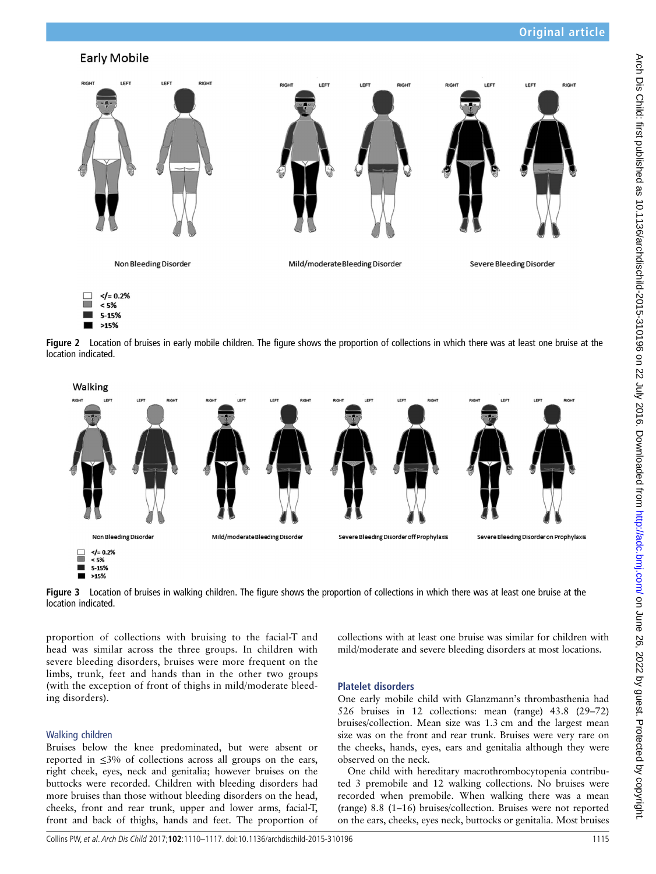# <span id="page-5-0"></span>**Early Mobile**





 $>15%$ 

Figure 2 Location of bruises in early mobile children. The figure shows the proportion of collections in which there was at least one bruise at the location indicated.



Figure 3 Location of bruises in walking children. The figure shows the proportion of collections in which there was at least one bruise at the location indicated.

proportion of collections with bruising to the facial-T and head was similar across the three groups. In children with severe bleeding disorders, bruises were more frequent on the limbs, trunk, feet and hands than in the other two groups (with the exception of front of thighs in mild/moderate bleeding disorders).

## Walking children

Bruises below the knee predominated, but were absent or reported in  $\leq 3\%$  of collections across all groups on the ears, right cheek, eyes, neck and genitalia; however bruises on the buttocks were recorded. Children with bleeding disorders had more bruises than those without bleeding disorders on the head, cheeks, front and rear trunk, upper and lower arms, facial-T, front and back of thighs, hands and feet. The proportion of collections with at least one bruise was similar for children with mild/moderate and severe bleeding disorders at most locations.

## Platelet disorders

One early mobile child with Glanzmann's thrombasthenia had 526 bruises in 12 collections: mean (range) 43.8 (29–72) bruises/collection. Mean size was 1.3 cm and the largest mean size was on the front and rear trunk. Bruises were very rare on the cheeks, hands, eyes, ears and genitalia although they were observed on the neck.

One child with hereditary macrothrombocytopenia contributed 3 premobile and 12 walking collections. No bruises were recorded when premobile. When walking there was a mean (range) 8.8 (1–16) bruises/collection. Bruises were not reported on the ears, cheeks, eyes neck, buttocks or genitalia. Most bruises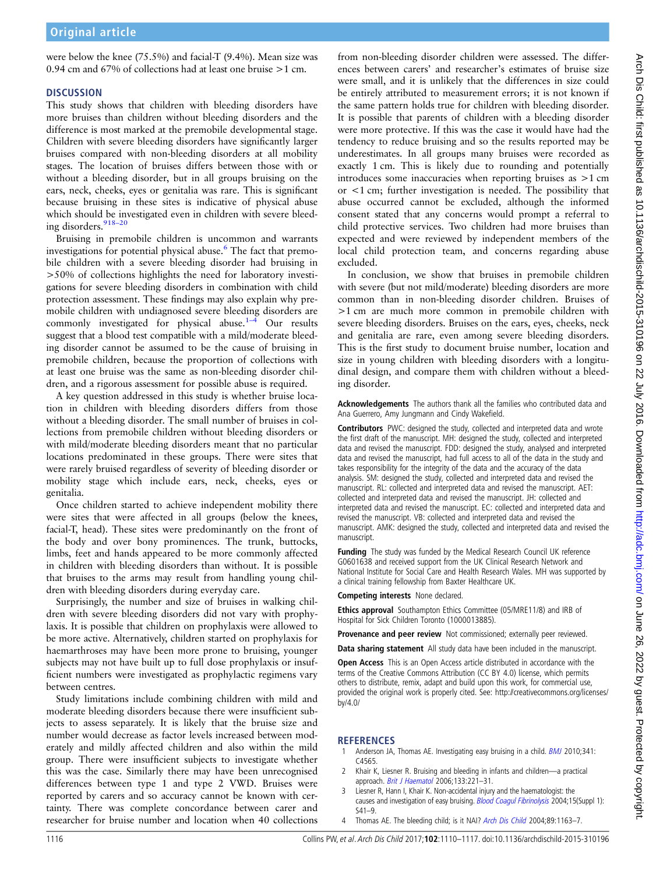<span id="page-6-0"></span>were below the knee (75.5%) and facial-T (9.4%). Mean size was 0.94 cm and 67% of collections had at least one bruise >1 cm.

## **DISCUSSION**

This study shows that children with bleeding disorders have more bruises than children without bleeding disorders and the difference is most marked at the premobile developmental stage. Children with severe bleeding disorders have significantly larger bruises compared with non-bleeding disorders at all mobility stages. The location of bruises differs between those with or without a bleeding disorder, but in all groups bruising on the ears, neck, cheeks, eyes or genitalia was rare. This is significant because bruising in these sites is indicative of physical abuse which should be investigated even in children with severe bleed-ing disorders.<sup>[918](#page-7-0)-20</sup>

Bruising in premobile children is uncommon and warrants investigations for potential physical abuse.<sup>[6](#page-7-0)</sup> The fact that premobile children with a severe bleeding disorder had bruising in >50% of collections highlights the need for laboratory investigations for severe bleeding disorders in combination with child protection assessment. These findings may also explain why premobile children with undiagnosed severe bleeding disorders are commonly investigated for physical abuse. $1-4$  Our results suggest that a blood test compatible with a mild/moderate bleeding disorder cannot be assumed to be the cause of bruising in premobile children, because the proportion of collections with at least one bruise was the same as non-bleeding disorder children, and a rigorous assessment for possible abuse is required.

A key question addressed in this study is whether bruise location in children with bleeding disorders differs from those without a bleeding disorder. The small number of bruises in collections from premobile children without bleeding disorders or with mild/moderate bleeding disorders meant that no particular locations predominated in these groups. There were sites that were rarely bruised regardless of severity of bleeding disorder or mobility stage which include ears, neck, cheeks, eyes or genitalia.

Once children started to achieve independent mobility there were sites that were affected in all groups (below the knees, facial-T, head). These sites were predominantly on the front of the body and over bony prominences. The trunk, buttocks, limbs, feet and hands appeared to be more commonly affected in children with bleeding disorders than without. It is possible that bruises to the arms may result from handling young children with bleeding disorders during everyday care.

Surprisingly, the number and size of bruises in walking children with severe bleeding disorders did not vary with prophylaxis. It is possible that children on prophylaxis were allowed to be more active. Alternatively, children started on prophylaxis for haemarthroses may have been more prone to bruising, younger subjects may not have built up to full dose prophylaxis or insufficient numbers were investigated as prophylactic regimens vary between centres.

Study limitations include combining children with mild and moderate bleeding disorders because there were insufficient subjects to assess separately. It is likely that the bruise size and number would decrease as factor levels increased between moderately and mildly affected children and also within the mild group. There were insufficient subjects to investigate whether this was the case. Similarly there may have been unrecognised differences between type 1 and type 2 VWD. Bruises were reported by carers and so accuracy cannot be known with certainty. There was complete concordance between carer and researcher for bruise number and location when 40 collections

from non-bleeding disorder children were assessed. The differences between carers' and researcher's estimates of bruise size were small, and it is unlikely that the differences in size could be entirely attributed to measurement errors; it is not known if the same pattern holds true for children with bleeding disorder. It is possible that parents of children with a bleeding disorder were more protective. If this was the case it would have had the tendency to reduce bruising and so the results reported may be underestimates. In all groups many bruises were recorded as exactly 1 cm. This is likely due to rounding and potentially introduces some inaccuracies when reporting bruises as >1 cm or <1 cm; further investigation is needed. The possibility that abuse occurred cannot be excluded, although the informed consent stated that any concerns would prompt a referral to child protective services. Two children had more bruises than expected and were reviewed by independent members of the local child protection team, and concerns regarding abuse excluded.

In conclusion, we show that bruises in premobile children with severe (but not mild/moderate) bleeding disorders are more common than in non-bleeding disorder children. Bruises of >1 cm are much more common in premobile children with severe bleeding disorders. Bruises on the ears, eyes, cheeks, neck and genitalia are rare, even among severe bleeding disorders. This is the first study to document bruise number, location and size in young children with bleeding disorders with a longitudinal design, and compare them with children without a bleeding disorder.

Acknowledgements The authors thank all the families who contributed data and Ana Guerrero, Amy Jungmann and Cindy Wakefield.

Contributors PWC: designed the study, collected and interpreted data and wrote the first draft of the manuscript. MH: designed the study, collected and interpreted data and revised the manuscript. FDD: designed the study, analysed and interpreted data and revised the manuscript, had full access to all of the data in the study and takes responsibility for the integrity of the data and the accuracy of the data analysis. SM: designed the study, collected and interpreted data and revised the manuscript. RL: collected and interpreted data and revised the manuscript. AET: collected and interpreted data and revised the manuscript. JH: collected and interpreted data and revised the manuscript. EC: collected and interpreted data and revised the manuscript. VB: collected and interpreted data and revised the manuscript. AMK: designed the study, collected and interpreted data and revised the manuscript.

Funding The study was funded by the Medical Research Council UK reference G0601638 and received support from the UK Clinical Research Network and National Institute for Social Care and Health Research Wales. MH was supported by a clinical training fellowship from Baxter Healthcare UK.

Competing interests None declared.

Ethics approval Southampton Ethics Committee (05/MRE11/8) and IRB of Hospital for Sick Children Toronto (1000013885).

Provenance and peer review Not commissioned; externally peer reviewed.

Data sharing statement All study data have been included in the manuscript.

Open Access This is an Open Access article distributed in accordance with the terms of the Creative Commons Attribution (CC BY 4.0) license, which permits others to distribute, remix, adapt and build upon this work, for commercial use, provided the original work is properly cited. See: [http://creativecommons.org/licenses/](http://creativecommons.org/licenses/by/4.0/) [by/4.0/](http://creativecommons.org/licenses/by/4.0/)

## **REFERENCES**

- Anderson JA, Thomas AE. Investigating easy bruising in a child. [BMJ](http://dx.doi.org/10.1136/bmj.c4565) 2010;341: C4565.
- 2 Khair K, Liesner R. Bruising and bleeding in infants and children—a practical approach. [Brit J Haematol](http://dx.doi.org/10.1111/j.1365-2141.2006.06016.x) 2006;133:221-31.
- 3 Liesner R, Hann I, Khair K. Non-accidental injury and the haematologist: the causes and investigation of easy bruising. [Blood Coagul Fibrinolysis](http://dx.doi.org/10.1097/00001721-200405001-00009) 2004;15(Suppl 1): S41–9.
- 4 Thomas AE. The bleeding child; is it NAI? [Arch Dis Child](http://dx.doi.org/10.1136/adc.2003.034538) 2004;89:1163-7.